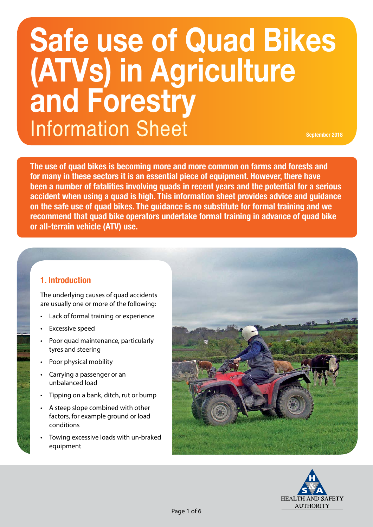# **September 2018 Safe use of Quad Bikes (ATVs) in Agriculture and Forestry** Information Sheet

**The use of quad bikes is becoming more and more common on farms and forests and for many in these sectors it is an essential piece of equipment. However, there have been a number of fatalities involving quads in recent years and the potential for a serious accident when using a quad is high. This information sheet provides advice and guidance on the safe use of quad bikes. The guidance is no substitute for formal training and we recommend that quad bike operators undertake formal training in advance of quad bike or all-terrain vehicle (ATV) use.**

# **1. Introduction**

The underlying causes of quad accidents are usually one or more of the following:

- Lack of formal training or experience
- Excessive speed
- Poor quad maintenance, particularly tyres and steering
- Poor physical mobility
- Carrying a passenger or an unbalanced load
- Tipping on a bank, ditch, rut or bump
- A steep slope combined with other factors, for example ground or load conditions
- Towing excessive loads with un-braked equipment



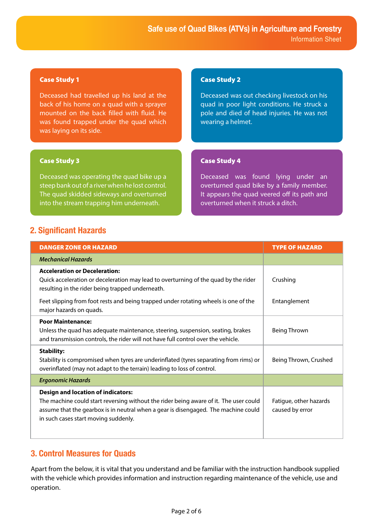## Case Study 1

Deceased had travelled up his land at the back of his home on a quad with a sprayer mounted on the back filled with fluid. He was found trapped under the quad which was laying on its side.

## Case Study 3

Deceased was operating the quad bike up a steep bank out of a river when he lost control. The quad skidded sideways and overturned into the stream trapping him underneath.

# Case Study 2

Deceased was out checking livestock on his quad in poor light conditions. He struck a pole and died of head injuries. He was not wearing a helmet.

## Case Study 4

Deceased was found lying under an overturned quad bike by a family member. It appears the quad veered off its path and overturned when it struck a ditch.

# **2. Significant Hazards**

| <b>DANGER ZONE OR HAZARD</b>                                                                                                                                                                                                                                                                      | <b>TYPE OF HAZARD</b>                     |
|---------------------------------------------------------------------------------------------------------------------------------------------------------------------------------------------------------------------------------------------------------------------------------------------------|-------------------------------------------|
| <b>Mechanical Hazards</b>                                                                                                                                                                                                                                                                         |                                           |
| <b>Acceleration or Deceleration:</b><br>Quick acceleration or deceleration may lead to overturning of the quad by the rider<br>resulting in the rider being trapped underneath.<br>Feet slipping from foot rests and being trapped under rotating wheels is one of the<br>major hazards on quads. | Crushing<br>Entanglement                  |
| <b>Poor Maintenance:</b><br>Unless the quad has adequate maintenance, steering, suspension, seating, brakes<br>and transmission controls, the rider will not have full control over the vehicle.                                                                                                  | <b>Being Thrown</b>                       |
| <b>Stability:</b><br>Stability is compromised when tyres are underinflated (tyres separating from rims) or<br>overinflated (may not adapt to the terrain) leading to loss of control.                                                                                                             | Being Thrown, Crushed                     |
| <b>Ergonomic Hazards</b>                                                                                                                                                                                                                                                                          |                                           |
| <b>Design and location of indicators:</b><br>The machine could start reversing without the rider being aware of it. The user could<br>assume that the gearbox is in neutral when a gear is disengaged. The machine could<br>in such cases start moving suddenly.                                  | Fatigue, other hazards<br>caused by error |

# **3. Control Measures for Quads**

Apart from the below, it is vital that you understand and be familiar with the instruction handbook supplied with the vehicle which provides information and instruction regarding maintenance of the vehicle, use and operation.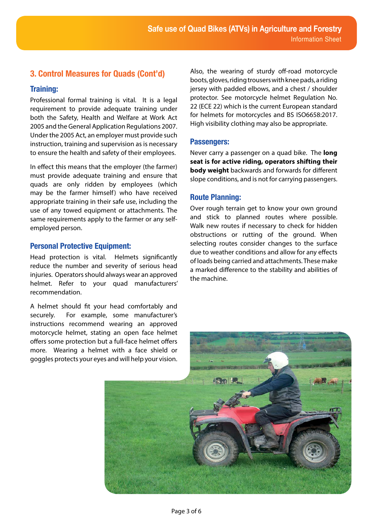# **3. Control Measures for Quads (Cont'd)**

# **Training:**

Professional formal training is vital. It is a legal requirement to provide adequate training under both the Safety, Health and Welfare at Work Act 2005 and the General Application Regulations 2007. Under the 2005 Act, an employer must provide such instruction, training and supervision as is necessary to ensure the health and safety of their employees.

In effect this means that the employer (the farmer) must provide adequate training and ensure that quads are only ridden by employees (which may be the farmer himself) who have received appropriate training in their safe use, including the use of any towed equipment or attachments. The same requirements apply to the farmer or any selfemployed person.

## **Personal Protective Equipment:**

Head protection is vital. Helmets significantly reduce the number and severity of serious head injuries. Operators should always wear an approved helmet. Refer to your quad manufacturers' recommendation.

A helmet should fit your head comfortably and securely. For example, some manufacturer's instructions recommend wearing an approved motorcycle helmet, stating an open face helmet offers some protection but a full-face helmet offers more. Wearing a helmet with a face shield or goggles protects your eyes and will help your vision.

Also, the wearing of sturdy off-road motorcycle boots, gloves, riding trousers with knee pads, a riding jersey with padded elbows, and a chest / shoulder protector. See motorcycle helmet Regulation No. 22 (ECE 22) which is the current European standard for helmets for motorcycles and BS ISO6658:2017. High visibility clothing may also be appropriate.

#### **Passengers:**

Never carry a passenger on a quad bike. The **long seat is for active riding, operators shifting their body weight** backwards and forwards for different slope conditions, and is not for carrying passengers.

## **Route Planning:**

Over rough terrain get to know your own ground and stick to planned routes where possible. Walk new routes if necessary to check for hidden obstructions or rutting of the ground. When selecting routes consider changes to the surface due to weather conditions and allow for any effects of loads being carried and attachments. These make a marked difference to the stability and abilities of the machine.

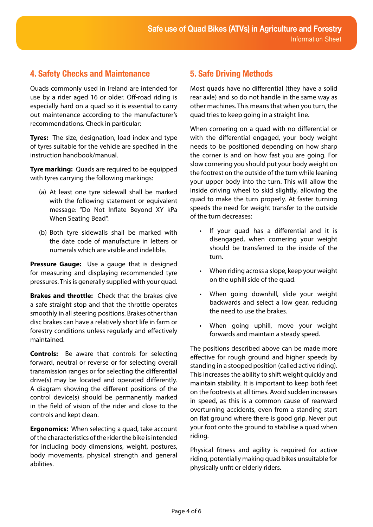# **4. Safety Checks and Maintenance**

Quads commonly used in Ireland are intended for use by a rider aged 16 or older. Off-road riding is especially hard on a quad so it is essential to carry out maintenance according to the manufacturer's recommendations. Check in particular:

**Tyres:** The size, designation, load index and type of tyres suitable for the vehicle are specified in the instruction handbook/manual.

**Tyre marking:** Quads are required to be equipped with tyres carrying the following markings:

- (a) At least one tyre sidewall shall be marked with the following statement or equivalent message: "Do Not Inflate Beyond XY kPa When Seating Bead".
- (b) Both tyre sidewalls shall be marked with the date code of manufacture in letters or numerals which are visible and indelible.

**Pressure Gauge:** Use a gauge that is designed for measuring and displaying recommended tyre pressures. This is generally supplied with your quad.

**Brakes and throttle:** Check that the brakes give a safe straight stop and that the throttle operates smoothly in all steering positions. Brakes other than disc brakes can have a relatively short life in farm or forestry conditions unless regularly and effectively maintained.

**Controls:** Be aware that controls for selecting forward, neutral or reverse or for selecting overall transmission ranges or for selecting the differential drive(s) may be located and operated differently. A diagram showing the different positions of the control device(s) should be permanently marked in the field of vision of the rider and close to the controls and kept clean.

**Ergonomics:** When selecting a quad, take account of the characteristics of the rider the bike is intended for including body dimensions, weight, postures, body movements, physical strength and general abilities.

# **5. Safe Driving Methods**

Most quads have no differential (they have a solid rear axle) and so do not handle in the same way as other machines. This means that when you turn, the quad tries to keep going in a straight line.

When cornering on a quad with no differential or with the differential engaged, your body weight needs to be positioned depending on how sharp the corner is and on how fast you are going. For slow cornering you should put your body weight on the footrest on the outside of the turn while leaning your upper body into the turn. This will allow the inside driving wheel to skid slightly, allowing the quad to make the turn properly. At faster turning speeds the need for weight transfer to the outside of the turn decreases:

- If your quad has a differential and it is disengaged, when cornering your weight should be transferred to the inside of the turn.
- When riding across a slope, keep your weight on the uphill side of the quad.
- When going downhill, slide your weight backwards and select a low gear, reducing the need to use the brakes.
- When going uphill, move your weight forwards and maintain a steady speed.

The positions described above can be made more effective for rough ground and higher speeds by standing in a stooped position (called active riding). This increases the ability to shift weight quickly and maintain stability. It is important to keep both feet on the footrests at all times. Avoid sudden increases in speed, as this is a common cause of rearward overturning accidents, even from a standing start on flat ground where there is good grip. Never put your foot onto the ground to stabilise a quad when riding.

Physical fitness and agility is required for active riding, potentially making quad bikes unsuitable for physically unfit or elderly riders.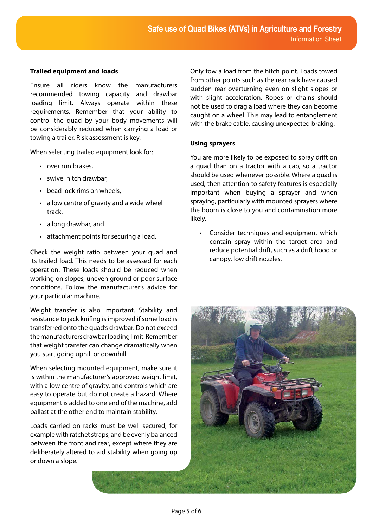#### **Trailed equipment and loads**

Ensure all riders know the manufacturers recommended towing capacity and drawbar loading limit. Always operate within these requirements. Remember that your ability to control the quad by your body movements will be considerably reduced when carrying a load or towing a trailer. Risk assessment is key.

When selecting trailed equipment look for:

- over run brakes,
- swivel hitch drawbar,
- bead lock rims on wheels,
- a low centre of gravity and a wide wheel track,
- a long drawbar, and
- attachment points for securing a load.

Check the weight ratio between your quad and its trailed load. This needs to be assessed for each operation. These loads should be reduced when working on slopes, uneven ground or poor surface conditions. Follow the manufacturer's advice for your particular machine.

Weight transfer is also important. Stability and resistance to jack knifing is improved if some load is transferred onto the quad's drawbar. Do not exceed the manufacturers drawbar loading limit. Remember that weight transfer can change dramatically when you start going uphill or downhill.

When selecting mounted equipment, make sure it is within the manufacturer's approved weight limit, with a low centre of gravity, and controls which are easy to operate but do not create a hazard. Where equipment is added to one end of the machine, add ballast at the other end to maintain stability.

Loads carried on racks must be well secured, for example with ratchet straps, and be evenly balanced between the front and rear, except where they are deliberately altered to aid stability when going up or down a slope.

Only tow a load from the hitch point. Loads towed from other points such as the rear rack have caused sudden rear overturning even on slight slopes or with slight acceleration. Ropes or chains should not be used to drag a load where they can become caught on a wheel. This may lead to entanglement with the brake cable, causing unexpected braking.

#### **Using sprayers**

You are more likely to be exposed to spray drift on a quad than on a tractor with a cab, so a tractor should be used whenever possible. Where a quad is used, then attention to safety features is especially important when buying a sprayer and when spraying, particularly with mounted sprayers where the boom is close to you and contamination more likely.

• Consider techniques and equipment which contain spray within the target area and reduce potential drift, such as a drift hood or canopy, low drift nozzles.